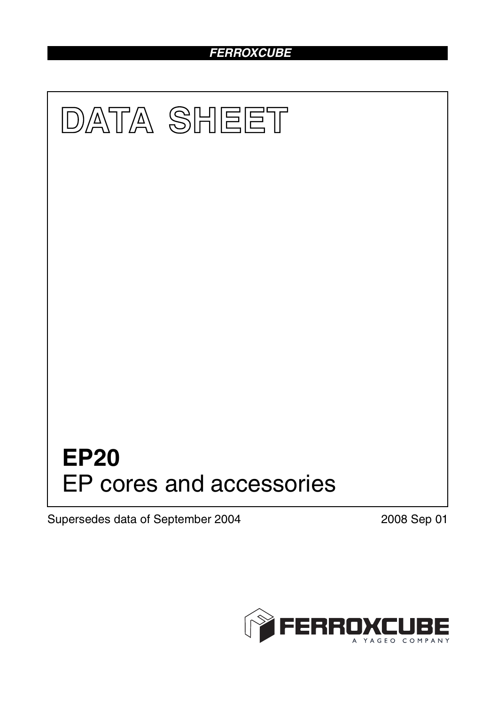# *FERROXCUBE*



Supersedes data of September 2004 2008 Sep 01

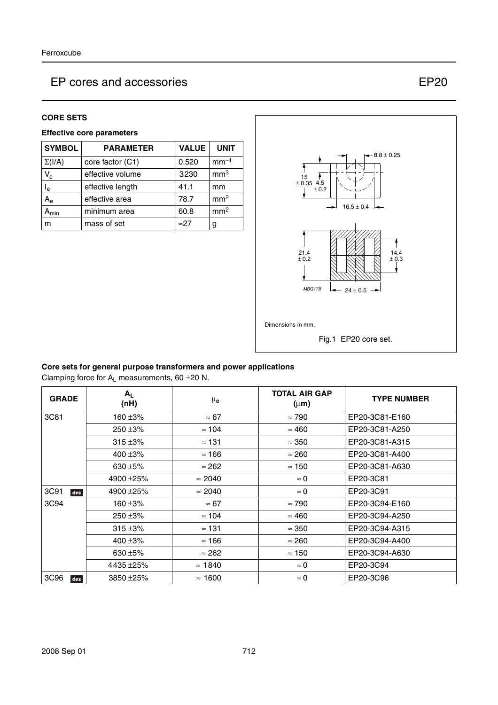#### **CORE SETS**

### **Effective core parameters**

| <b>SYMBOL</b>             | <b>PARAMETER</b> | <b>VALUE</b> | <b>UNIT</b>     |
|---------------------------|------------------|--------------|-----------------|
| $\Sigma(I/A)$             | core factor (C1) | 0.520        | $mm-1$          |
| $V_{\rm e}$               | effective volume | 3230         | mm <sup>3</sup> |
| $\mathsf{l}_{\mathsf{e}}$ | effective length | 41.1         | mm              |
| $A_{\rm e}$               | effective area   | 78.7         | mm <sup>2</sup> |
| <b>\</b> min              | minimum area     | 60.8         | mm <sup>2</sup> |
| m                         | mass of set      | $\approx$ 27 | g               |



### **Core sets for general purpose transformers and power applications**

Clamping force for  $A_L$  measurements, 60  $\pm$ 20 N.

| <b>GRADE</b> | $A_L$<br>(nH) | $\mu_{\bf e}$  | <b>TOTAL AIR GAP</b><br>$(\mu m)$ | <b>TYPE NUMBER</b> |
|--------------|---------------|----------------|-----------------------------------|--------------------|
| 3C81         | 160 ±3%       | $\approx 67$   | $\approx 790$                     | EP20-3C81-E160     |
|              | $250 + 3%$    | $\approx$ 104  | $\approx 460$                     | EP20-3C81-A250     |
|              | $315 + 3%$    | $\approx$ 131  | $\approx 350$                     | EP20-3C81-A315     |
|              | 400 $\pm$ 3%  | $\approx$ 166  | $\approx 260$                     | EP20-3C81-A400     |
|              | 630 $\pm$ 5%  | $\approx$ 262  | $\approx 150$                     | EP20-3C81-A630     |
|              | 4900 ± 25%    | $\approx 2040$ | $\approx 0$                       | EP20-3C81          |
| 3C91<br>des  | 4900 ± 25%    | $\approx 2040$ | $\approx 0$                       | EP20-3C91          |
| 3C94         | 160 $\pm 3\%$ | $\approx 67$   | $\approx 790$                     | EP20-3C94-E160     |
|              | $250 + 3%$    | $\approx$ 104  | $\approx 460$                     | EP20-3C94-A250     |
|              | $315 + 3%$    | $\approx$ 131  | $\approx 350$                     | EP20-3C94-A315     |
|              | 400 $\pm 3\%$ | $\approx$ 166  | $\approx 260$                     | EP20-3C94-A400     |
|              | 630 $\pm$ 5%  | $\approx 262$  | $\approx$ 150                     | EP20-3C94-A630     |
|              | 4435 ±25%     | $\approx$ 1840 | $\approx 0$                       | EP20-3C94          |
| 3C96<br>des  | 3850 ± 25%    | $\approx$ 1600 | $\approx 0$                       | EP20-3C96          |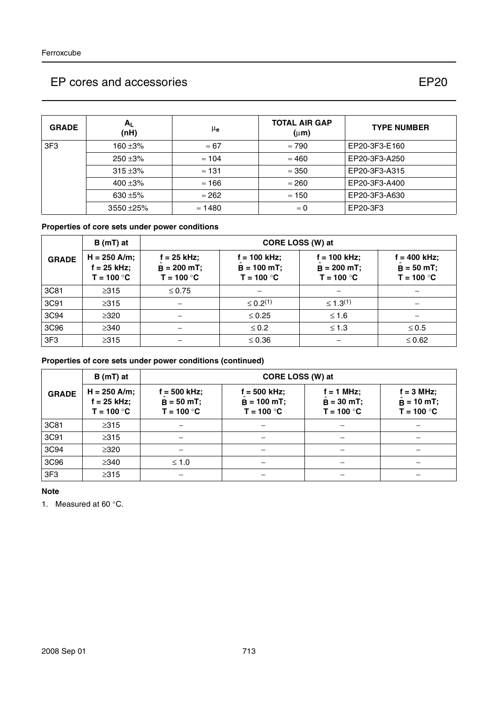| <b>GRADE</b> | A <sub>1</sub><br>(nH) | μ <sub>e</sub> | <b>TOTAL AIR GAP</b><br>$(\mu m)$ | <b>TYPE NUMBER</b> |
|--------------|------------------------|----------------|-----------------------------------|--------------------|
| 3F3          | 160 $\pm$ 3%           | $\approx 67$   | $\approx 790$                     | EP20-3F3-E160      |
|              | $250 + 3%$             | $\approx 104$  | $\approx 460$                     | EP20-3F3-A250      |
|              | $315 + 3%$             | $\approx$ 131  | $\approx 350$                     | EP20-3F3-A315      |
|              | 400 $\pm 3\%$          | $\approx$ 166  | $\approx 260$                     | EP20-3F3-A400      |
|              | 630 $\pm$ 5%           | $\approx$ 262  | $\approx$ 150                     | EP20-3F3-A630      |
|              | $3550 + 25%$           | $\approx$ 1480 | $\approx 0$                       | EP20-3F3           |

## **Properties of core sets under power conditions**

|                 | $B(mT)$ at                                      | CORE LOSS (W) at                               |                                               |                                                 |                                                |
|-----------------|-------------------------------------------------|------------------------------------------------|-----------------------------------------------|-------------------------------------------------|------------------------------------------------|
| <b>GRADE</b>    | $H = 250$ A/m;<br>$f = 25$ kHz;<br>$T = 100 °C$ | $f = 25$ kHz;<br>$B = 200$ mT;<br>$T = 100 °C$ | f = 100 kHz;<br>$B = 100$ mT;<br>$T = 100 °C$ | $f = 100$ kHz;<br>$B = 200$ mT;<br>$T = 100 °C$ | $f = 400$ kHz;<br>$B = 50$ mT;<br>$T = 100 °C$ |
| 3C81            | $\geq$ 315                                      | $\leq 0.75$                                    |                                               |                                                 |                                                |
| 3C91            | $\geq 315$                                      |                                                | $\leq 0.2^{(1)}$                              | $\leq 1.3^{(1)}$                                |                                                |
| 3C94            | $\geq 320$                                      |                                                | $\leq 0.25$                                   | $≤ 1.6$                                         |                                                |
| 3C96            | $\geq$ 340                                      |                                                | $\leq 0.2$                                    | $\leq 1.3$                                      | $\leq 0.5$                                     |
| 3F <sub>3</sub> | $\geq 315$                                      |                                                | $\leq 0.36$                                   |                                                 | $\leq 0.62$                                    |

### **Properties of core sets under power conditions (continued)**

|              | CORE LOSS (W) at<br>B (mT) at                   |                                               |                                                  |                                              |                                                     |
|--------------|-------------------------------------------------|-----------------------------------------------|--------------------------------------------------|----------------------------------------------|-----------------------------------------------------|
| <b>GRADE</b> | $H = 250$ A/m;<br>$f = 25$ kHz;<br>$T = 100 °C$ | f = 500 kHz;<br>$B = 50 mT$ ;<br>$T = 100 °C$ | $f = 500$ kHz;<br>$B = 100 mT$ ;<br>$T = 100 °C$ | $f = 1$ MHz;<br>$B = 30$ mT;<br>$T = 100 °C$ | $f = 3 MHz$ ;<br>$\hat{B} = 10$ mT;<br>$T = 100 °C$ |
| 3C81         | $\geq 315$                                      |                                               |                                                  |                                              |                                                     |
| 3C91         | $\geq 315$                                      |                                               |                                                  |                                              |                                                     |
| 3C94         | $\geq 320$                                      |                                               |                                                  |                                              |                                                     |
| 3C96         | $\geq$ 340                                      | $≤ 1.0$                                       |                                                  |                                              |                                                     |
| 3F3          | $\geq 315$                                      |                                               |                                                  |                                              |                                                     |

#### **Note**

1. Measured at 60 °C.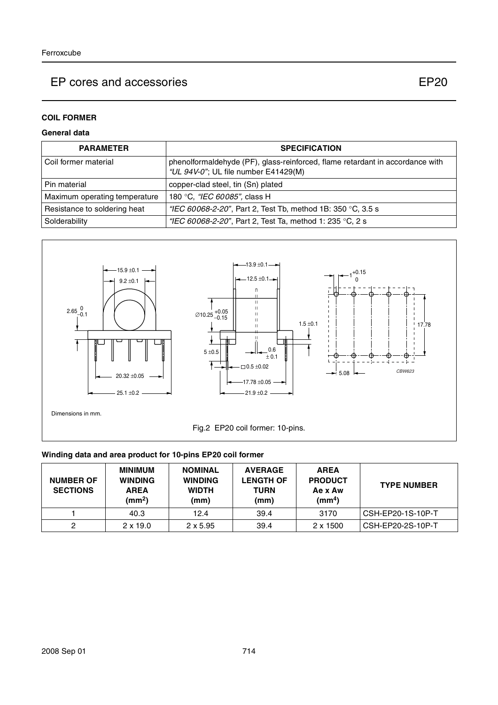## **COIL FORMER**

### **General data**

| <b>PARAMETER</b>              | <b>SPECIFICATION</b>                                                                                                  |
|-------------------------------|-----------------------------------------------------------------------------------------------------------------------|
| Coil former material          | phenolformaldehyde (PF), glass-reinforced, flame retardant in accordance with<br>"UL 94V-0"; UL file number E41429(M) |
| Pin material                  | copper-clad steel, tin (Sn) plated                                                                                    |
| Maximum operating temperature | 180 °C, "IEC 60085", class H                                                                                          |
| Resistance to soldering heat  | "IEC 60068-2-20", Part 2, Test Tb, method 1B: 350 °C, 3.5 s                                                           |
| Solderability                 | "IEC 60068-2-20", Part 2, Test Ta, method 1: 235 °C, 2 s                                                              |



### **Winding data and area product for 10-pins EP20 coil former**

| <b>NUMBER OF</b><br><b>SECTIONS</b> | <b>MINIMUM</b><br><b>WINDING</b><br><b>AREA</b><br>(mm <sup>2</sup> ) | <b>NOMINAL</b><br><b>WINDING</b><br><b>WIDTH</b><br>(mm) | <b>AVERAGE</b><br><b>LENGTH OF</b><br>TURN<br>(mm) | <b>AREA</b><br><b>PRODUCT</b><br>Ae x Aw<br>(mm <sup>4</sup> ) | <b>TYPE NUMBER</b> |
|-------------------------------------|-----------------------------------------------------------------------|----------------------------------------------------------|----------------------------------------------------|----------------------------------------------------------------|--------------------|
|                                     | 40.3                                                                  | 12.4                                                     | 39.4                                               | 3170                                                           | CSH-EP20-1S-10P-T  |
|                                     | $2 \times 19.0$                                                       | $2 \times 5.95$                                          | 39.4                                               | $2 \times 1500$                                                | CSH-EP20-2S-10P-T  |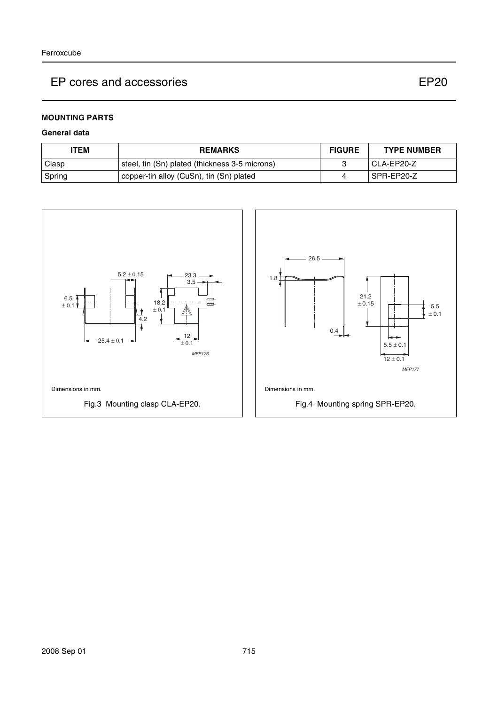#### **MOUNTING PARTS**

#### **General data**

| ITEM   | <b>REMARKS</b>                                 | <b>FIGURE</b> | <b>TYPE NUMBER</b> |
|--------|------------------------------------------------|---------------|--------------------|
| Clasp  | steel, tin (Sn) plated (thickness 3-5 microns) |               | I CLA-EP20-Z       |
| Spring | copper-tin alloy (CuSn), tin (Sn) plated       |               | l SPR-EP20-Z       |